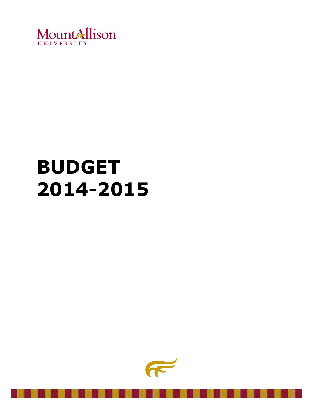

# **BUDGET 2014-2015**

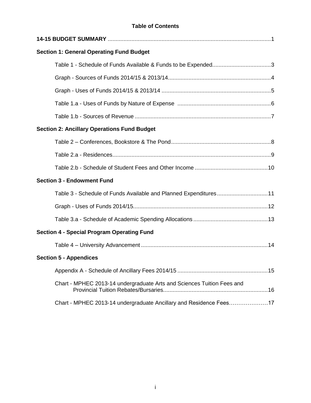### **Table of Contents**

| <b>Section 1: General Operating Fund Budget</b>                        |
|------------------------------------------------------------------------|
|                                                                        |
|                                                                        |
|                                                                        |
|                                                                        |
|                                                                        |
| <b>Section 2: Ancillary Operations Fund Budget</b>                     |
|                                                                        |
|                                                                        |
|                                                                        |
| <b>Section 3 - Endowment Fund</b>                                      |
| Table 3 - Schedule of Funds Available and Planned Expenditures11       |
|                                                                        |
|                                                                        |
| <b>Section 4 - Special Program Operating Fund</b>                      |
|                                                                        |
| <b>Section 5 - Appendices</b>                                          |
|                                                                        |
| Chart - MPHEC 2013-14 undergraduate Arts and Sciences Tuition Fees and |
| Chart - MPHEC 2013-14 undergraduate Ancillary and Residence Fees17     |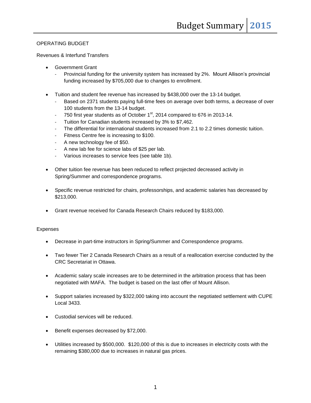### OPERATING BUDGET

#### Revenues & Interfund Transfers

- Government Grant
	- Provincial funding for the university system has increased by 2%. Mount Allison's provincial funding increased by \$705,000 due to changes to enrollment.
- Tuition and student fee revenue has increased by \$438,000 over the 13-14 budget.
	- Based on 2371 students paying full-time fees on average over both terms, a decrease of over 100 students from the 13-14 budget.
	- $-$  750 first year students as of October 1<sup>st</sup>, 2014 compared to 676 in 2013-14.
	- Tuition for Canadian students increased by 3% to \$7,462.
	- The differential for international students increased from 2.1 to 2.2 times domestic tuition.
	- Fitness Centre fee is increasing to \$100.
	- A new technology fee of \$50.
	- A new lab fee for science labs of \$25 per lab.
	- Various increases to service fees (see table 1b).
- Other tuition fee revenue has been reduced to reflect projected decreased activity in Spring/Summer and correspondence programs.
- Specific revenue restricted for chairs, professorships, and academic salaries has decreased by \$213,000.
- Grant revenue received for Canada Research Chairs reduced by \$183,000.

#### Expenses

- Decrease in part-time instructors in Spring/Summer and Correspondence programs.
- Two fewer Tier 2 Canada Research Chairs as a result of a reallocation exercise conducted by the CRC Secretariat in Ottawa.
- Academic salary scale increases are to be determined in the arbitration process that has been negotiated with MAFA. The budget is based on the last offer of Mount Allison.
- Support salaries increased by \$322,000 taking into account the negotiated settlement with CUPE Local 3433.
- Custodial services will be reduced.
- Benefit expenses decreased by \$72,000.
- Utilities increased by \$500,000. \$120,000 of this is due to increases in electricity costs with the remaining \$380,000 due to increases in natural gas prices.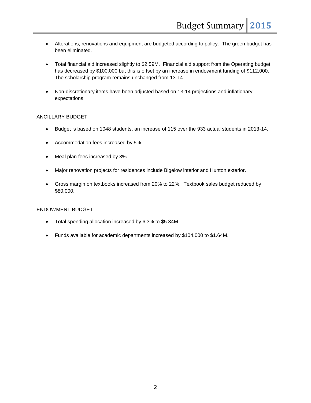- Alterations, renovations and equipment are budgeted according to policy. The green budget has been eliminated.
- Total financial aid increased slightly to \$2.59M. Financial aid support from the Operating budget has decreased by \$100,000 but this is offset by an increase in endowment funding of \$112,000. The scholarship program remains unchanged from 13-14.
- Non-discretionary items have been adjusted based on 13-14 projections and inflationary expectations.

#### ANCILLARY BUDGET

- Budget is based on 1048 students, an increase of 115 over the 933 actual students in 2013-14.
- Accommodation fees increased by 5%.
- Meal plan fees increased by 3%.
- Major renovation projects for residences include Bigelow interior and Hunton exterior.
- Gross margin on textbooks increased from 20% to 22%. Textbook sales budget reduced by \$80,000.

#### ENDOWMENT BUDGET

- Total spending allocation increased by 6.3% to \$5.34M.
- Funds available for academic departments increased by \$104,000 to \$1.64M.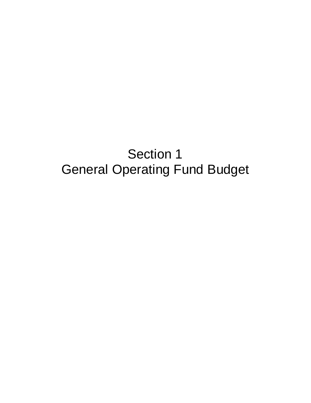# Section 1 General Operating Fund Budget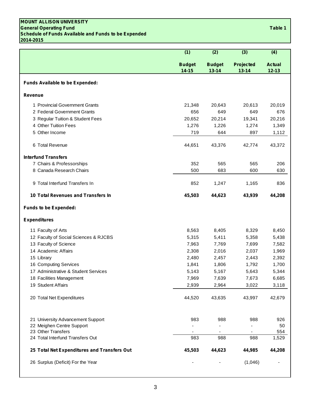#### **MOUNT ALLISON UNIVERSITY General Operating Fund Table 1 Schedule of Funds Available and Funds to be Expended 2014-2015**

|                                             | (1)                        | (2)                        | (3)                    | (4)                        |
|---------------------------------------------|----------------------------|----------------------------|------------------------|----------------------------|
|                                             | <b>Budget</b><br>$14 - 15$ | <b>Budget</b><br>$13 - 14$ | Projected<br>$13 - 14$ | <b>Actual</b><br>$12 - 13$ |
| Funds Available to be Expended:             |                            |                            |                        |                            |
| <b>Revenue</b>                              |                            |                            |                        |                            |
| 1 Provincial Government Grants              | 21,348                     | 20,643                     | 20,613                 | 20,019                     |
| 2 Federal Government Grants                 | 656                        | 649                        | 649                    | 676                        |
| 3 Regular Tuition & Student Fees            | 20,652                     | 20,214                     | 19,341                 | 20,216                     |
| 4 Other Tuition Fees                        | 1,276                      | 1,226                      | 1,274                  | 1,349                      |
| 5 Other Income                              | 719                        | 644                        | 897                    | 1,112                      |
| 6 Total Revenue                             | 44,651                     | 43,376                     | 42,774                 | 43,372                     |
| <b>Interfund Transfers</b>                  |                            |                            |                        |                            |
| 7 Chairs & Professorships                   | 352                        | 565                        | 565                    | 206                        |
| 8 Canada Research Chairs                    | 500                        | 683                        | 600                    | 630                        |
| 9 Total Interfund Transfers In              | 852                        | 1,247                      | 1,165                  | 836                        |
| 10 Total Revenues and Transfers In          | 45,503                     | 44,623                     | 43,939                 | 44,208                     |
| <b>Funds to be Expended:</b>                |                            |                            |                        |                            |
| <b>Expenditures</b>                         |                            |                            |                        |                            |
| 11 Faculty of Arts                          | 8,563                      | 8,405                      | 8,329                  | 8,450                      |
| 12 Faculty of Social Sciences & RJCBS       | 5,315                      | 5,411                      | 5,358                  | 5,438                      |
| 13 Faculty of Science                       | 7,963                      | 7,769                      | 7,699                  | 7,582                      |
| 14 Academic Affairs                         | 2,308                      | 2,016                      | 2,037                  | 1,969                      |
| 15 Library                                  | 2,480                      | 2,457                      | 2,443                  | 2,392                      |
| 16 Computing Services                       | 1,841                      | 1,806                      | 1,792                  | 1,700                      |
| 17 Administrative & Student Services        | 5,143                      | 5,167                      | 5,643                  | 5,344                      |
| 18 Facilities Management                    | 7,969                      | 7,639                      | 7,673                  | 6,685                      |
| 19 Student Affairs                          | 2,939                      | 2,964                      | 3,022                  | 3,118                      |
| 20 Total Net Expenditures                   | 44,520                     | 43,635                     | 43,997                 | 42,679                     |
|                                             |                            |                            |                        |                            |
| 21 University Advancement Support           | 983                        | 988                        | 988                    | 926                        |
| 22 Meighen Centre Support                   |                            |                            |                        | 50                         |
| 23 Other Transfers                          |                            |                            |                        | 554                        |
| 24 Total Interfund Transfers Out            | 983                        | 988                        | 988                    | 1,529                      |
| 25 Total Net Expenditures and Transfers Out | 45,503                     | 44,623                     | 44,985                 | 44,208                     |
| 26 Surplus (Deficit) For the Year           |                            |                            | (1,046)                |                            |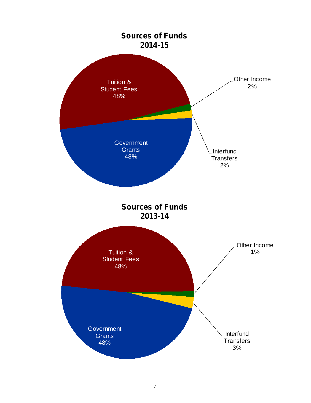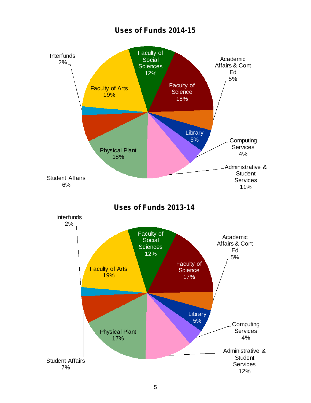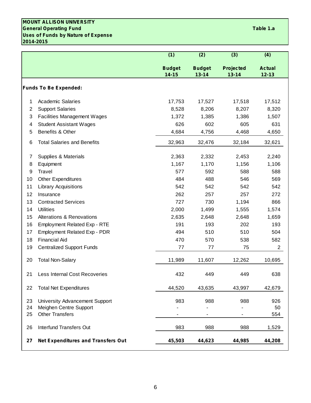### **MOUNT ALLISON UNIVERSITY General Operating Fund Table 1.a Uses of Funds by Nature of Expense 2014-2015**

|    |                                           | (1)                        | (2)                        | (3)                    | (4)                        |
|----|-------------------------------------------|----------------------------|----------------------------|------------------------|----------------------------|
|    |                                           | <b>Budget</b><br>$14 - 15$ | <b>Budget</b><br>$13 - 14$ | Projected<br>$13 - 14$ | <b>Actual</b><br>$12 - 13$ |
|    | <b>Funds To Be Expended:</b>              |                            |                            |                        |                            |
| 1  | <b>Academic Salaries</b>                  | 17,753                     | 17,527                     | 17,518                 | 17,512                     |
| 2  | <b>Support Salaries</b>                   | 8,528                      | 8,206                      | 8,207                  | 8,320                      |
| 3  | <b>Facilities Management Wages</b>        | 1,372                      | 1,385                      | 1,386                  | 1,507                      |
| 4  | <b>Student Assistant Wages</b>            | 626                        | 602                        | 605                    | 631                        |
| 5  | Benefits & Other                          | 4,684                      | 4,756                      | 4,468                  | 4,650                      |
| 6  | <b>Total Salaries and Benefits</b>        | 32,963                     | 32,476                     | 32,184                 | 32,621                     |
| 7  | Supplies & Materials                      | 2,363                      | 2,332                      | 2,453                  | 2,240                      |
| 8  | Equipment                                 | 1,167                      | 1,170                      | 1,156                  | 1,106                      |
| 9  | <b>Travel</b>                             | 577                        | 592                        | 588                    | 588                        |
| 10 | <b>Other Expenditures</b>                 | 484                        | 488                        | 546                    | 569                        |
| 11 | <b>Library Acquisitions</b>               | 542                        | 542                        | 542                    | 542                        |
| 12 | Insurance                                 | 262                        | 257                        | 257                    | 272                        |
| 13 | <b>Contracted Services</b>                | 727                        | 730                        | 1,194                  | 866                        |
| 14 | <b>Utilities</b>                          | 2,000                      | 1,499                      | 1,555                  | 1,574                      |
| 15 | <b>Alterations &amp; Renovations</b>      | 2,635                      | 2,648                      | 2,648                  | 1,659                      |
| 16 | <b>Employment Related Exp - RTE</b>       | 191                        | 193                        | 202                    | 193                        |
| 17 | <b>Employment Related Exp - PDR</b>       | 494                        | 510                        | 510                    | 504                        |
| 18 | <b>Financial Aid</b>                      | 470                        | 570                        | 538                    | 582                        |
| 19 | <b>Centralized Support Funds</b>          | 77                         | 77                         | 75                     | $\overline{2}$             |
| 20 | <b>Total Non-Salary</b>                   | 11,989                     | 11,607                     | 12,262                 | 10,695                     |
| 21 | <b>Less Internal Cost Recoveries</b>      | 432                        | 449                        | 449                    | 638                        |
| 22 | <b>Total Net Expenditures</b>             | 44,520                     | 43,635                     | 43,997                 | 42,679                     |
| 23 | University Advancement Support            | 983                        | 988                        | 988                    | 926                        |
| 24 | Meighen Centre Support                    |                            |                            |                        | 50                         |
| 25 | <b>Other Transfers</b>                    |                            |                            |                        | 554                        |
| 26 | <b>Interfund Transfers Out</b>            | 983                        | 988                        | 988                    | 1,529                      |
| 27 | <b>Net Expenditures and Transfers Out</b> | 45,503                     | 44,623                     | 44,985                 | 44,208                     |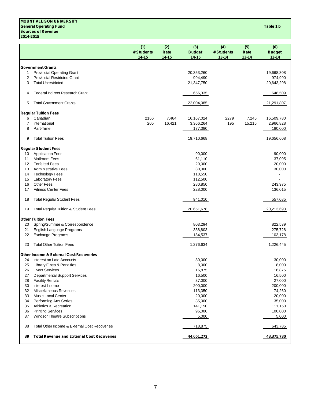#### **MOUNT ALLISON UNIVERSITY General Operating Fund Table 1.b Sources of Revenue 2014-2015**

|    |                                                    | (1)        | (2)       | (3)           | (4)        | (5)       | (6)           |
|----|----------------------------------------------------|------------|-----------|---------------|------------|-----------|---------------|
|    |                                                    | # Students | Rate      | <b>Budget</b> | # Students | Rate      | <b>Budget</b> |
|    |                                                    | 14-15      | $14 - 15$ | 14-15         | $13 - 14$  | $13 - 14$ | $13 - 14$     |
|    | <b>Government Grants</b>                           |            |           |               |            |           |               |
| 1  | <b>Provincial Operating Grant</b>                  |            |           | 20,353,260    |            |           | 19,668,308    |
| 2  | <b>Provincial Restricted Grant</b>                 |            |           | 994,490       |            |           | 974,990       |
| 3  | <b>Total Unrestricted</b>                          |            |           | 21,347,750    |            |           | 20,643,298    |
| 4  | Federal Indirect Research Grant                    |            |           | 656,335       |            |           | 648,509       |
| 5  | <b>Total Government Grants</b>                     |            |           | 22,004,085    |            |           | 21,291,807    |
|    | <b>Regular Tuition Fees</b>                        |            |           |               |            |           |               |
| 6  | Canadian                                           | 2166       | 7,464     | 16,167,024    | 2279       | 7,245     | 16,509,780    |
| 7  | International                                      | 205        | 16,421    | 3,366,264     | 195        | 15,215    | 2,966,828     |
| 8  | Part-Time                                          |            |           | 177,380       |            |           | 180,000       |
| 9  | <b>Total Tuition Fees</b>                          |            |           | 19,710,668    |            |           | 19,656,608    |
|    | <b>Regular Student Fees</b>                        |            |           |               |            |           |               |
| 10 | <b>Application Fees</b>                            |            |           | 90,000        |            |           | 90,000        |
| 11 | <b>Mailroom Fees</b>                               |            |           | 61,110        |            |           | 37,095        |
| 12 | <b>Forfeited Fees</b>                              |            |           | 20,000        |            |           | 20,000        |
| 13 | <b>Administrative Fees</b>                         |            |           | 30,000        |            |           | 30,000        |
| 14 | <b>Technology Fees</b>                             |            |           | 118,550       |            |           |               |
| 15 | <b>Laboratory Fees</b>                             |            |           | 112,500       |            |           |               |
| 16 | <b>Other Fees</b>                                  |            |           | 280,850       |            |           | 243,975       |
| 17 | <b>Fitness Center Fees</b>                         |            |           | 228,000       |            |           | 136,015       |
| 18 | <b>Total Regular Student Fees</b>                  |            |           | 941,010       |            |           | 557,085       |
| 19 | <b>Total Regular Tuition &amp; Student Fees</b>    |            |           | 20,651,678    |            |           | 20,213,693    |
|    | <b>Other Tuition Fees</b>                          |            |           |               |            |           |               |
| 20 | Spring/Summer & Correspondence                     |            |           | 803,294       |            |           | 822,539       |
| 21 | English Language Programs                          |            |           | 338,803       |            |           | 275,728       |
| 22 | Exchange Programs                                  |            |           | 134,537       |            |           | 103,178       |
| 23 | <b>Total Other Tuition Fees</b>                    |            |           | 1,276,634     |            |           | 1,226,445     |
|    |                                                    |            |           |               |            |           |               |
|    | <b>Other Income &amp; External Cost Recoveries</b> |            |           |               |            |           |               |
| 24 | Interest on Late Accounts                          |            |           | 30,000        |            |           | 30,000        |
| 25 | Library Fines & Penalties                          |            |           | 8,000         |            |           | 8,000         |
| 26 | <b>Event Services</b>                              |            |           | 16,875        |            |           | 16,875        |
| 27 | <b>Departmental Support Services</b>               |            |           | 16,500        |            |           | 16,500        |
| 28 | <b>Facility Rentals</b>                            |            |           | 37,000        |            |           | 27,000        |
| 30 | Interest Income                                    |            |           | 200,000       |            |           | 200,000       |
| 32 | Miscellaneous Revenues                             |            |           | 113,350       |            |           | 74,260        |
| 33 | <b>Music Local Center</b>                          |            |           | 20,000        |            |           | 20,000        |
| 34 | Performing Arts Series                             |            |           | 35,000        |            |           | 35,000        |
| 35 | Athletics & Recreation                             |            |           | 141,150       |            |           | 111,150       |
| 36 | <b>Printing Services</b>                           |            |           | 96,000        |            |           | 100,000       |
| 37 | Windsor Theatre Subscriptions                      |            |           | 5,000         |            |           | 5,000         |
| 38 | Total Other Income & External Cost Recoveries      |            |           | 718,875       |            |           | 643,785       |
| 39 | <b>Total Revenue and External Cost Recoveries</b>  |            |           | 44,651,272    |            |           | 43,375,730    |
|    |                                                    |            |           |               |            |           |               |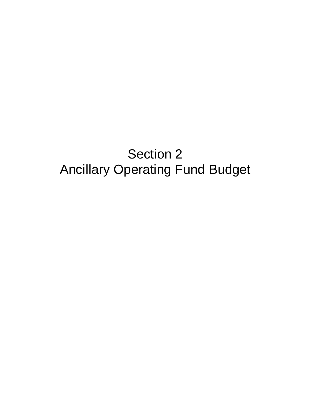# Section 2 Ancillary Operating Fund Budget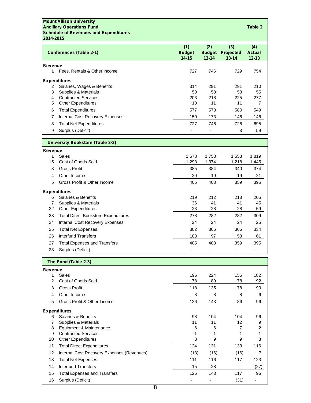#### **Mount Allison University Ancillary Operations Fund Table 2 Schedule of Revenues and Expenditures 2014-2015**

|                | <b>Conferences (Table 2-1)</b>          | (1)<br><b>Budget</b><br>$14 - 15$ | (2)<br><b>Budget</b><br>$13 - 14$ | (3)<br><b>Projected</b><br>$13 - 14$ | (4)<br><b>Actual</b><br>$12 - 13$ |  |
|----------------|-----------------------------------------|-----------------------------------|-----------------------------------|--------------------------------------|-----------------------------------|--|
| <b>Revenue</b> |                                         |                                   |                                   |                                      |                                   |  |
| 1              | Fees, Rentals & Other Income            | 727                               | 746                               | 729                                  | 754                               |  |
|                | <b>Expenditures</b>                     |                                   |                                   |                                      |                                   |  |
| 2              | Salaries, Wages & Benefits              | 314                               | 291                               | 291                                  | 210                               |  |
| 3              | Supplies & Materials                    | 50                                | 53                                | 53                                   | 55                                |  |
| 4              | <b>Contracted Services</b>              | 203                               | 218                               | 225                                  | 277                               |  |
| 5              | <b>Other Expenditures</b>               | 10                                | 11                                | 11                                   | 7                                 |  |
| 6              | <b>Total Expenditures</b>               | 577                               | 573                               | 580                                  | 549                               |  |
| 7              | Internal Cost Recovery Expenses         | 150                               | 173                               | 146                                  | 146                               |  |
| 8              | <b>Total Net Expenditures</b>           | 727                               | 746                               | 726                                  | 695                               |  |
| 9              | Surplus (Deficit)                       |                                   |                                   | 3                                    | 59                                |  |
|                |                                         |                                   |                                   |                                      |                                   |  |
|                | <b>University Bookstore (Table 2-2)</b> |                                   |                                   |                                      |                                   |  |
| <b>Revenue</b> |                                         |                                   |                                   |                                      |                                   |  |
|                | $\lambda$ Color                         | 1070                              | 47EO                              | 1.550                                | 1.010                             |  |

|    | Sales                                      | 1,678 | 1,758 | 1,558 | 1,819 |
|----|--------------------------------------------|-------|-------|-------|-------|
| 15 | Cost of Goods Sold                         | 1,293 | 1,374 | 1,218 | 1,445 |
| 3  | Gross Profit                               | 385   | 384   | 340   | 374   |
| 4  | Other Income                               | 20    | 19    | 19    | 21    |
| 5  | Gross Profit & Other Income                | 405   | 403   | 359   | 395   |
|    | <b>Expenditures</b>                        |       |       |       |       |
| 6  | Salaries & Benefits                        | 219   | 212   | 213   | 205   |
|    | Supplies & Materials                       | 36    | 41    | 41    | 45    |
| 22 | <b>Other Expenditures</b>                  | 23    | 28    | 28    | 59    |
| 23 | <b>Total Direct Bookstore Expenditures</b> | 278   | 282   | 282   | 309   |
| 24 | Internal Cost Recovery Expenses            | 24    | 24    | 24    | 25    |
| 25 | <b>Total Net Expenses</b>                  | 302   | 306   | 306   | 334   |
| 26 | Interfund Transfers                        | 103   | 97    | 53    | 61    |
| 27 | <b>Total Expenses and Transfers</b>        | 405   | 403   | 359   | 395   |
| 28 | Surplus (Deficit)                          |       |       |       |       |

**The Pond (Table 2-3)**

| Revenue |                                            |      |      |      |      |
|---------|--------------------------------------------|------|------|------|------|
|         | Sales                                      | 196  | 224  | 156  | 182  |
| 2       | Cost of Goods Sold                         | 78   | 89   | 78   | 92   |
| 3       | <b>Gross Profit</b>                        | 118  | 135  | 78   | 90   |
| 4       | Other Income                               | 8    | 8    | 8    | 6    |
| 5       | Gross Profit & Other Income                | 126  | 143  | 86   | 96   |
|         | <b>Expenditures</b>                        |      |      |      |      |
| 6       | Salaries & Benefits                        | 98   | 104  | 104  | 96   |
|         | Supplies & Materials                       | 11   | 11   | 12   | 9    |
| 8       | Equipment & Maintenance                    | 6    | 6    |      | 2    |
| 9       | <b>Contracted Services</b>                 |      |      |      |      |
| 10      | <b>Other Expenditures</b>                  | 8    | 9    | 9    | 8    |
| 11      | <b>Total Direct Expenditures</b>           | 124  | 131  | 133  | 116  |
| 12      | Internal Cost Recovery Expenses (Revenues) | (13) | (16) | (16) |      |
| 13      | <b>Total Net Expenses</b>                  | 111  | 116  | 117  | 123  |
| 14      | Interfund Transfers                        | 15   | 28   |      | (27) |
| 15      | <b>Total Expenses and Transfers</b>        | 126  | 143  | 117  | 96   |
| 16      | Surplus (Deficit)                          |      |      | (31) |      |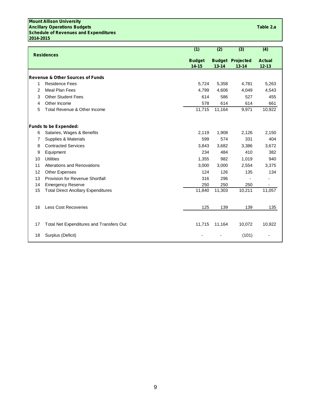**Mount Allison University Ancillary Operations Budgets Table 2.a Schedule of Revenues and Expenditures 2014-2015**

|    |                                                 | (1)                        | (2)       | (3)                                  | (4)                        |
|----|-------------------------------------------------|----------------------------|-----------|--------------------------------------|----------------------------|
|    | <b>Residences</b>                               | <b>Budget</b><br>$14 - 15$ | $13 - 14$ | <b>Budget Projected</b><br>$13 - 14$ | <b>Actual</b><br>$12 - 13$ |
|    | <b>Revenue &amp; Other Sources of Funds</b>     |                            |           |                                      |                            |
| 1  | <b>Residence Fees</b>                           | 5,724                      | 5,358     | 4,781                                | 5,263                      |
| 2  | <b>Meal Plan Fees</b>                           | 4,799                      | 4,606     | 4,049                                | 4,543                      |
| 3  | <b>Other Student Fees</b>                       | 614                        | 586       | 527                                  | 455                        |
| 4  | Other Income                                    | 578                        | 614       | 614                                  | 661                        |
| 5  | Total Revenue & Other Income                    | 11,715                     | 11,164    | 9,971                                | 10,922                     |
|    | <b>Funds to be Expended:</b>                    |                            |           |                                      |                            |
| 6  | Salaries, Wages & Benefits                      | 2.119                      | 1,908     | 2,126                                | 2,150                      |
| 7  | Supplies & Materials                            | 599                        | 574       | 331                                  | 404                        |
| 8  | <b>Contracted Services</b>                      | 3,843                      | 3,682     | 3,386                                | 3,672                      |
| 9  | Equipment                                       | 234                        | 484       | 410                                  | 382                        |
| 10 | <b>Utilities</b>                                | 1,355                      | 982       | 1,019                                | 940                        |
| 11 | Alterations and Renovations                     | 3.000                      | 3,000     | 2,554                                | 3,375                      |
| 12 | <b>Other Expenses</b>                           | 124                        | 126       | 135                                  | 134                        |
| 13 | <b>Provision for Revenue Shortfall</b>          | 316                        | 296       |                                      |                            |
| 14 | <b>Emergency Reserve</b>                        | 250                        | 250       | 250                                  |                            |
| 15 | <b>Total Direct Ancillary Expenditures</b>      | 11,840                     | 11,303    | 10,211                               | 11,057                     |
| 16 | <b>Less Cost Recoveries</b>                     | 125                        | 139       | 139                                  | 135                        |
| 17 | <b>Total Net Expenditures and Transfers Out</b> | 11,715                     | 11,164    | 10,072                               | 10,922                     |
| 18 | Surplus (Deficit)                               |                            |           | (101)                                |                            |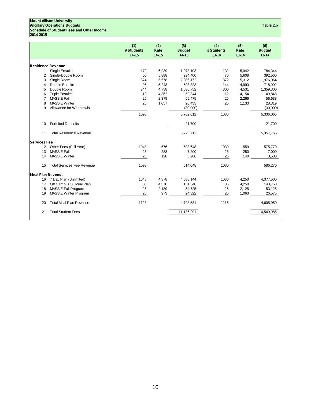#### **Mount Allison University Ancillary Operations Budgets Table 2.b**

## **Schedule of Student Fees and Other Income**

**2014-2015**

|                          |                                   | (1)<br># Students<br>$14 - 15$ | (2)<br>Rate<br>$14 - 15$ | (3)<br><b>Budget</b><br>$14 - 15$ | (4)<br># Students<br>$13 - 14$ | (5)<br>Rate<br>$13 - 14$ | (6)<br><b>Budget</b><br>$13 - 14$ |
|--------------------------|-----------------------------------|--------------------------------|--------------------------|-----------------------------------|--------------------------------|--------------------------|-----------------------------------|
| <b>Residence Revenue</b> |                                   |                                |                          |                                   |                                |                          |                                   |
| 1                        | <b>Single Ensuite</b>             | 172                            | 6,239                    | 1,073,108                         | 132                            | 5,942                    | 784,344                           |
| 2                        | Single-Double Room                | 50                             | 5,888                    | 294,400                           | 70                             | 5,608                    | 392,560                           |
| 3                        | Single Room                       | 374                            | 5,578                    | 2,086,172                         | 372                            | 5,312                    | 1,976,064                         |
| 4                        | Double Ensuite                    | 96                             | 5,243                    | 503,328                           | 144                            | 4,993                    | 718,992                           |
| 5                        | Double Room                       | 344                            | 4,758                    | 1,636,752                         | 300                            | 4,531                    | 1,359,300                         |
| 6                        | <b>Triple Ensuite</b>             | 12                             | 4,362                    | 52,344                            | 12                             | 4,154                    | 49,848                            |
| 7                        | <b>MASSIE Fall</b>                | 25                             | 2,379                    | 59,475                            | 25                             | 2,266                    | 56,638                            |
| 8                        | <b>MASSIE Winter</b>              | 25                             | 1,057                    | 26,433                            | 25                             | 1,133                    | 28,319                            |
| 9                        | Allowance for Withdrawls          |                                |                          | (30,000)                          |                                |                          | (30,000)                          |
|                          |                                   | 1098                           |                          | 5,702,012                         | 1080                           |                          | 5,336,065                         |
| 10                       | <b>Forfeited Deposits</b>         |                                |                          | 21,700                            |                                |                          | 21,700                            |
| 11                       | <b>Total Residence Revenue</b>    |                                |                          | 5,723,712                         |                                |                          | 5,357,765                         |
| <b>Services Fee</b>      |                                   |                                |                          |                                   |                                |                          |                                   |
| 12                       | Other Fees (Full Year)            | 1048                           | 576                      | 603,648                           | 1030                           | 559                      | 575,770                           |
| 13                       | <b>MASSIE Fall</b>                | 25                             | 288                      | 7,200                             | 25                             | 280                      | 7,000                             |
| 14                       | <b>MASSIE Winter</b>              | 25                             | 128                      | 3,200                             | 25                             | 140                      | 3,500                             |
| 15                       | <b>Total Services Fee Revenue</b> | 1098                           |                          | 614,048                           | 1080                           |                          | 586,270                           |
| <b>Meal Plan Revenue</b> |                                   |                                |                          |                                   |                                |                          |                                   |
| 16                       | 7 Day Plan (Unlimited)            | 1048                           | 4,378                    | 4,588,144                         | 1030                           | 4,250                    | 4,377,500                         |
| 17                       | Off Campus 50 Meal Plan           | 30                             | 4,378                    | 131,340                           | 35                             | 4,250                    | 148,750                           |
| 18                       | MASSIE Fall Program               | 25                             | 2,189                    | 54,725                            | 25                             | 2,125                    | 53,125                            |
| 19                       | MASSIE Winter Program             | 25                             | 973                      | 24,322                            | 25                             | 1,063                    | 26,575                            |
| 20                       | <b>Total Meal Plan Revenue</b>    | 1128                           |                          | 4,798,531                         | 1115                           |                          | 4,605,950                         |
| 21                       | <b>Total Student Fees</b>         |                                |                          | 11,136,291                        |                                |                          | 10,549,985                        |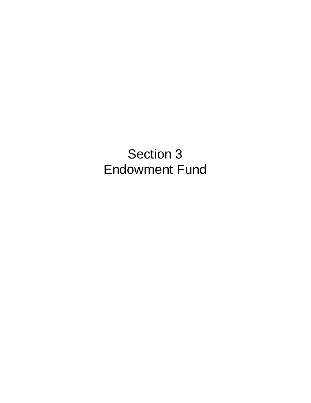# Section 3 Endowment Fund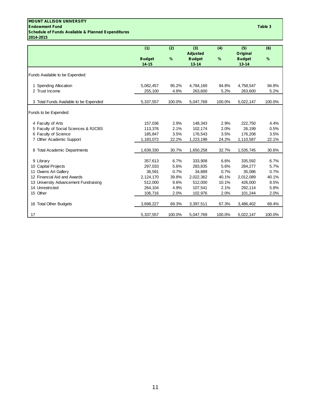#### **MOUNT ALLISON UNIVERSITY Endowment Fund Table 3 Schedule of Funds Available & Planned Expenditures 2014-2015**

|                                        | (1)                        | (2)    | (3)<br><b>Adjusted</b>     | (4)    | (5)<br>Original            | (6)    |
|----------------------------------------|----------------------------|--------|----------------------------|--------|----------------------------|--------|
|                                        | <b>Budget</b><br>$14 - 15$ | %      | <b>Budget</b><br>$13 - 14$ | %      | <b>Budget</b><br>$13 - 14$ | %      |
| Funds Available to be Expended:        |                            |        |                            |        |                            |        |
| 1 Spending Allocation                  | 5,082,457                  | 95.2%  | 4,784,169                  | 94.8%  | 4,758,547                  | 94.8%  |
| 2 Trust Income                         | 255,100                    | 4.8%   | 263,600                    | 5.2%   | 263,600                    | 5.2%   |
| 3 Total Funds Available to be Expended | 5,337,557                  | 100.0% | 5,047,769                  | 100.0% | 5,022,147                  | 100.0% |
| Funds to be Expended:                  |                            |        |                            |        |                            |        |
| 4 Faculty of Arts                      | 157,036                    | 2.9%   | 148,343                    | 2.9%   | 222,750                    | 4.4%   |
| 5 Faculty of Social Sciences & RJCBS   | 113,376                    | 2.1%   | 102,174                    | 2.0%   | 26,199                     | 0.5%   |
| 6 Faculty of Science                   | 185,847                    | 3.5%   | 176,543                    | 3.5%   | 176,208                    | 3.5%   |
| 7 Other Academic Support               | 1,183,072                  | 22.2%  | 1,223,198                  | 24.2%  | 1,110,587                  | 22.1%  |
| 8 Total Academic Departments           | 1,639,330                  | 30.7%  | 1,650,258                  | 32.7%  | 1,535,745                  | 30.6%  |
| 9 Library                              | 357,613                    | 6.7%   | 333,908                    | 6.6%   | 335,592                    | 6.7%   |
| 10 Capital Projects                    | 297,033                    | 5.6%   | 283,835                    | 5.6%   | 284,277                    | 5.7%   |
| 11 Owens Art Gallery                   | 36,591                     | 0.7%   | 34,889                     | 0.7%   | 35,086                     | 0.7%   |
| 12 Financial Aid and Awards            | 2,124,170                  | 39.8%  | 2,022,362                  | 40.1%  | 2,012,089                  | 40.1%  |
| 13 University Advancement Fundraising  | 512,000                    | 9.6%   | 512,000                    | 10.1%  | 426,000                    | 8.5%   |
| 14 Unrestricted                        | 264.104                    | 4.9%   | 107,541                    | 2.1%   | 292.114                    | 5.8%   |
| 15 Other                               | 106,716                    | 2.0%   | 102,976                    | 2.0%   | 101,244                    | 2.0%   |
| 16 Total Other Budgets                 | 3,698,227                  | 69.3%  | 3,397,511                  | 67.3%  | 3,486,402                  | 69.4%  |
| 17                                     | 5,337,557                  | 100.0% | 5,047,769                  | 100.0% | 5,022,147                  | 100.0% |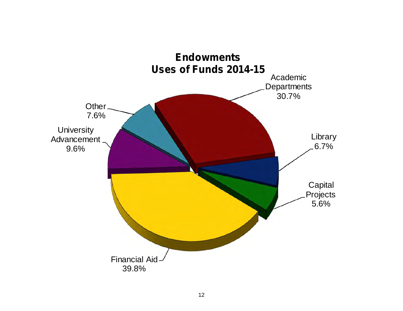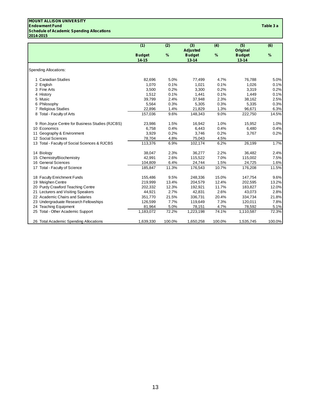### **MOUNT ALLISON UNIVERSITY**

#### **Endowment Fund Table 3 a Schedule of Academic Spending Allocations 2014-2015**

| Table 3 a |  |
|-----------|--|
|-----------|--|

|                                                  |                                                 | (1)               | (2)          | (3)               | (4)          | (5)               | (6)          |
|--------------------------------------------------|-------------------------------------------------|-------------------|--------------|-------------------|--------------|-------------------|--------------|
|                                                  |                                                 |                   |              | Adjusted          |              | <b>Original</b>   |              |
|                                                  |                                                 | <b>Budget</b>     | %            | <b>Budget</b>     | %            | <b>Budget</b>     | %            |
|                                                  |                                                 | $14 - 15$         |              | $13 - 14$         |              | $13 - 14$         |              |
| <b>Spending Allocations:</b>                     |                                                 |                   |              |                   |              |                   |              |
|                                                  |                                                 |                   |              |                   |              |                   |              |
| 1 Canadian Studies                               |                                                 | 82,696            | 5.0%         | 77,499            | 4.7%         | 76,788            | 5.0%         |
| 2 English                                        |                                                 | 1,070             | 0.1%         | 1,021             | 0.1%         | 1,026             | 0.1%         |
| 3 Fine Arts                                      |                                                 | 3,500             | 0.2%         | 3,300             | 0.2%         | 3,319             | 0.2%         |
| 4 History                                        |                                                 | 1,512             | 0.1%         | 1,441             | 0.1%         | 1,449             | 0.1%         |
| 5 Music                                          |                                                 | 39,799            | 2.4%         | 37,948            | 2.3%         | 38,162            | 2.5%         |
| 6 Philosophy                                     |                                                 | 5,564             | 0.3%         | 5,305             | 0.3%         | 5,335             | 0.3%         |
| 7 Religious Studies                              |                                                 | 22,896            | 1.4%         | 21,829            | 1.3%         | 96,671            | 6.3%         |
| 8 Total - Faculty of Arts                        |                                                 | 157,036           | 9.6%         | 148,343           | 9.0%         | 222,750           | 14.5%        |
|                                                  | 9 Ron Joyce Centre for Business Studies (RJCBS) | 23,986            | 1.5%         | 16,942            | 1.0%         | 15,952            | 1.0%         |
| 10 Economics                                     |                                                 | 6.758             | 0.4%         | 6,443             | 0.4%         | 6,480             | 0.4%         |
| 11 Geography & Environment                       |                                                 | 3,929             | 0.2%         | 3.746             | 0.2%         | 3,767             | 0.2%         |
| 12 Social Sciences                               |                                                 | 78,704            | 4.8%         | 75,043            | 4.5%         |                   |              |
|                                                  | 13 Total - Faculty of Social Sciences & RJCBS   | 113,376           | 6.9%         | 102,174           | 6.2%         | 26,199            | 1.7%         |
|                                                  |                                                 |                   |              |                   |              |                   |              |
| 14 Biology                                       |                                                 | 38,047            | 2.3%<br>2.6% | 36,277            | 2.2%<br>7.0% | 36,482            | 2.4%         |
| 15 Chemistry/Biochemistry<br>16 General Sciences |                                                 | 42,991<br>104,809 | 6.4%         | 115,522<br>24,744 | 1.5%         | 115,002<br>24,725 | 7.5%<br>1.6% |
| 17 Total - Faculty of Science                    |                                                 | 185,847           | 11.3%        | 176,543           | 10.7%        | 176,208           | 11.5%        |
|                                                  |                                                 |                   |              |                   |              |                   |              |
| 18 Faculty Enrichment Funds                      |                                                 | 155,486           | 9.5%         | 248,336           | 15.0%        | 147,754           | 9.6%         |
| 19 Meighen Centre                                |                                                 | 219,999           | 13.4%        | 204,579           | 12.4%        | 202,595           | 13.2%        |
| 20 Purdy Crawford Teaching Centre                |                                                 | 202,332           | 12.3%        | 192,921           | 11.7%        | 183,827           | 12.0%        |
| 21 Lecturers and Visiting Speakers               |                                                 | 44,921            | 2.7%         | 42,831            | 2.6%         | 43,073            | 2.8%         |
| 22 Academic Chairs and Salaries                  |                                                 | 351,770           | 21.5%        | 336,731           | 20.4%        | 334,734           | 21.8%        |
|                                                  | 23 Undergraduate Research Fellowships           | 126,599           | 7.7%         | 119,649           | 7.3%         | 120,011           | 7.8%         |
| 24 Teaching Equipment                            |                                                 | 81,964            | 5.0%         | 78,151            | 4.7%         | 78,592            | 5.1%         |
| 25 Total - Other Academic Support                |                                                 | 1,183,072         | 72.2%        | 1,223,198         | 74.1%        | 1,110,587         | 72.3%        |
|                                                  | 26 Total Academic Spending Allocations          | 1,639,330         | 100.0%       | 1,650,258         | 100.0%       | 1,535,745         | 100.0%       |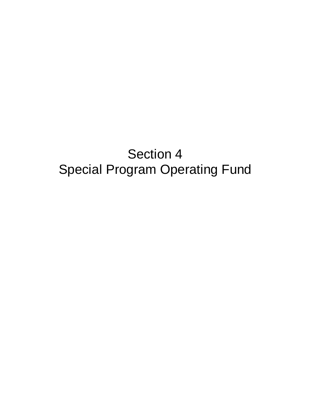# Section 4 Special Program Operating Fund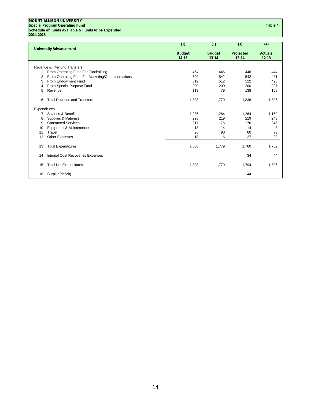**MOUNT ALLISON UNIVERSITY Special Program Operating Fund Table 4 Schedule of Funds Available & Funds to be Expended 2014-2015**

|                               |                                                  | (1)           | (1)           | (3)       | (4)            |
|-------------------------------|--------------------------------------------------|---------------|---------------|-----------|----------------|
| <b>University Advancement</b> |                                                  |               |               |           |                |
|                               |                                                  | <b>Budget</b> | <b>Budget</b> | Projected | <b>Actuals</b> |
|                               |                                                  | $14 - 15$     | $13 - 14$     | $13 - 14$ | $12 - 13$      |
|                               | Revenue & Interfund Transfers                    |               |               |           |                |
| 1                             | From Operating Fund For Fundraising              | 454           | 446           | 446       | 444            |
| 2                             | From Operating Fund For Marketing/Communications | 529           | 542           | 542       | 481            |
| 3                             | From Endowment Fund                              | 512           | 512           | 512       | 426            |
| 4                             | From Special Purpose Fund                        | 200           | 200           | 200       | 297            |
| 5                             | Revenue                                          | 113           | 79            | 138       | 158            |
| 6                             | <b>Total Revenue and Transfers</b>               | 1,808         | 1,779         | 1,838     | 1,806          |
| Expenditures                  |                                                  |               |               |           |                |
| 7                             | <b>Salaries &amp; Benefits</b>                   | 1,236         | 1,264         | 1,264     | 1,169          |
| 8                             | Supplies & Materials                             | 228           | 219           | 219       | 243            |
| 9                             | <b>Contracted Services</b>                       | 217           | 176           | 176       | 246            |
| 10                            | Equipment & Maintenance                          | 13            | 14            | 14        | 8              |
| 11                            | Travel                                           | 96            | 90            | 60        | 73             |
| 12                            | Other Expenses                                   | 18            | 16            | 27        | 23             |
| 13                            | <b>Total Expenditures</b>                        | 1,808         | 1,779         | 1,760     | 1,762          |
| 14                            | Internal Cost Recoveries Expenses                |               |               | 34        | 44             |
| 15                            | <b>Total Net Expenditures</b>                    | 1,808         | 1,779         | 1,794     | 1,806          |
| 16                            | Surplus(deficit)                                 |               |               | 44        |                |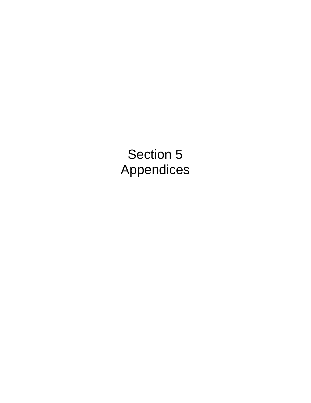Section 5 Appendices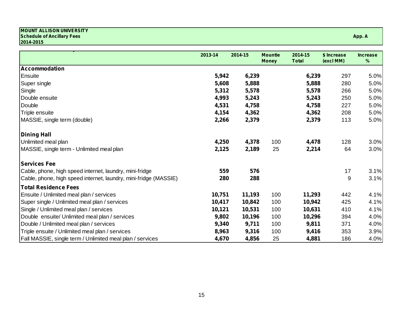#### **MOUNT ALLISON UNIVERSITY Schedule of Ancillary Fees App. A 2014-2015**

|                                                                  | 2013-14 | 2014-15 | <b>Mountie</b><br><b>Money</b> | 2014-15<br><b>Total</b> | \$ Increase<br>(excl MM) | <b>Increase</b><br>$\%$ |
|------------------------------------------------------------------|---------|---------|--------------------------------|-------------------------|--------------------------|-------------------------|
| <b>Accommodation</b>                                             |         |         |                                |                         |                          |                         |
| Ensuite                                                          | 5,942   | 6,239   |                                | 6,239                   | 297                      | 5.0%                    |
| Super single                                                     | 5,608   | 5,888   |                                | 5,888                   | 280                      | 5.0%                    |
| Single                                                           | 5,312   | 5,578   |                                | 5,578                   | 266                      | 5.0%                    |
| Double ensuite                                                   | 4,993   | 5,243   |                                | 5,243                   | 250                      | 5.0%                    |
| Double                                                           | 4,531   | 4,758   |                                | 4,758                   | 227                      | 5.0%                    |
| Triple ensuite                                                   | 4,154   | 4,362   |                                | 4,362                   | 208                      | 5.0%                    |
| MASSIE, single term (double)                                     | 2,266   | 2,379   |                                | 2,379                   | 113                      | 5.0%                    |
| Dining Hall                                                      |         |         |                                |                         |                          |                         |
| Unlimited meal plan                                              | 4,250   | 4,378   | 100                            | 4,478                   | 128                      | 3.0%                    |
| MASSIE, single term - Unlimited meal plan                        | 2,125   | 2,189   | 25                             | 2,214                   | 64                       | 3.0%                    |
| <b>Services Fee</b>                                              |         |         |                                |                         |                          |                         |
| Cable, phone, high speed internet, laundry, mini-fridge          | 559     | 576     |                                |                         | 17                       | 3.1%                    |
| Cable, phone, high speed internet, laundry, mini-fridge (MASSIE) | 280     | 288     |                                |                         | 9                        | 3.1%                    |
| <b>Total Residence Fees</b>                                      |         |         |                                |                         |                          |                         |
| Ensuite / Unlimited meal plan / services                         | 10,751  | 11,193  | 100                            | 11,293                  | 442                      | 4.1%                    |
| Super single / Unlimited meal plan / services                    | 10,417  | 10,842  | 100                            | 10,942                  | 425                      | 4.1%                    |
| Single / Unlimited meal plan / services                          | 10,121  | 10,531  | 100                            | 10,631                  | 410                      | 4.1%                    |
| Double ensuite/ Unlimited meal plan / services                   | 9,802   | 10,196  | 100                            | 10,296                  | 394                      | 4.0%                    |
| Double / Unlimited meal plan / services                          | 9,340   | 9,711   | 100                            | 9,811                   | 371                      | 4.0%                    |
| Triple ensuite / Unlimited meal plan / services                  | 8,963   | 9,316   | 100                            | 9,416                   | 353                      | 3.9%                    |
| Fall MASSIE, single term / Unlimited meal plan / services        | 4,670   | 4,856   | 25                             | 4,881                   | 186                      | 4.0%                    |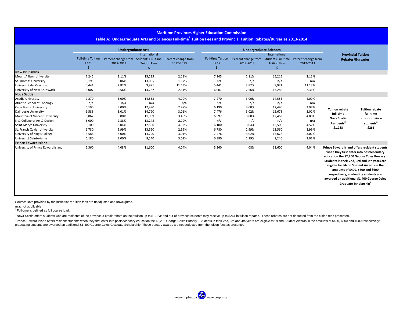#### **Maritime Provinces Higher Education Commission**

#### Table A: Undergraduate Arts and Sciences Full-time<sup>1</sup> Tuition Fees and Provincial Tuition Rebates/Bursaries 2013-2014

|                                    |                          | <b>Undergraduate Arts</b> |                     |                                                            | <b>Undergraduate Sciences</b> |                           |                     |                                                            |                                                                                                                                                                                                                                                                                                                                                                                                               |                                    |
|------------------------------------|--------------------------|---------------------------|---------------------|------------------------------------------------------------|-------------------------------|---------------------------|---------------------|------------------------------------------------------------|---------------------------------------------------------------------------------------------------------------------------------------------------------------------------------------------------------------------------------------------------------------------------------------------------------------------------------------------------------------------------------------------------------------|------------------------------------|
|                                    | International            |                           |                     |                                                            |                               | <b>Provincial Tuition</b> |                     |                                                            |                                                                                                                                                                                                                                                                                                                                                                                                               |                                    |
|                                    | <b>Full-time Tuition</b> |                           |                     | Percent change from Students Full-time Percent change from | <b>Full-time Tuition</b>      |                           |                     | Percent change from Students Full-time Percent change from |                                                                                                                                                                                                                                                                                                                                                                                                               | <b>Rebates/Bursaries</b>           |
|                                    | Fees                     | 2012-2013                 | <b>Tuition Fees</b> | 2012-2013                                                  | Fees                          | 2012-2013                 | <b>Tuition Fees</b> | 2012-2013                                                  |                                                                                                                                                                                                                                                                                                                                                                                                               |                                    |
|                                    | Ś.                       |                           |                     |                                                            | Ŝ                             |                           | ς                   |                                                            |                                                                                                                                                                                                                                                                                                                                                                                                               |                                    |
| <b>New Brunswick</b>               |                          |                           |                     |                                                            |                               |                           |                     |                                                            |                                                                                                                                                                                                                                                                                                                                                                                                               |                                    |
| <b>Mount Allison University</b>    | 7,245                    | 2.11%                     | 15,215              | 2.11%                                                      | 7,245                         | 2.11%                     | 15,215              | 2.11%                                                      |                                                                                                                                                                                                                                                                                                                                                                                                               |                                    |
| St. Thomas University              | 5,195                    | 5.06%                     | 13,005              | 1.17%                                                      | n/a                           | n/a                       | n/a                 | n/a                                                        |                                                                                                                                                                                                                                                                                                                                                                                                               |                                    |
| Université de Moncton              | 5,441                    | 2.82%                     | 9,971               | 11.13%                                                     | 5,441                         | 2.82%                     | 9,971               | 11.13%                                                     |                                                                                                                                                                                                                                                                                                                                                                                                               |                                    |
| University of New Brunswick        | 6,007                    | 2.56%                     | 13,282              | 2.31%                                                      | 6,007                         | 2.56%                     | 13,282              | 2.31%                                                      |                                                                                                                                                                                                                                                                                                                                                                                                               |                                    |
| <b>Nova Scotia</b>                 |                          |                           |                     |                                                            |                               |                           |                     |                                                            |                                                                                                                                                                                                                                                                                                                                                                                                               |                                    |
| Acadia University                  | 7,270                    | 3.00%                     | 14,553              | 4.00%                                                      | 7,270                         | 3.00%                     | 14,553              | 4.00%                                                      |                                                                                                                                                                                                                                                                                                                                                                                                               |                                    |
| <b>Atlantic School of Theology</b> | n/a                      | n/a                       | n/a                 | n/a                                                        | n/a                           | n/a                       | n/a                 | n/a                                                        |                                                                                                                                                                                                                                                                                                                                                                                                               |                                    |
| Cape Breton University             | 6,190                    | 3.00%                     | 12,490              | 2.97%                                                      | 6,190                         | 3.00%                     | 12,490              | 2.97%                                                      | <b>Tuition rebate</b>                                                                                                                                                                                                                                                                                                                                                                                         | <b>Tuition rebate</b><br>full-time |
| Dalhousie University               | 6,588                    | 3.01%                     | 14,790              | 3.01%                                                      | 7,476                         | 3.02%                     | 15,678              | 3.02%                                                      | full-time                                                                                                                                                                                                                                                                                                                                                                                                     |                                    |
| Mount Saint Vincent University     | 6,067                    | 3.00%                     | 11,969              | 3.49%                                                      | 6,397                         | 3.00%                     | 12,463              | 4.86%                                                      | Nova Scotia                                                                                                                                                                                                                                                                                                                                                                                                   | out-of-province                    |
| N.S. College of Art & Design       | 6,000                    | 2.88%                     | 13,248              | 2.99%                                                      | n/a                           | n/a                       | n/a                 | n/a                                                        | Residents <sup>2</sup>                                                                                                                                                                                                                                                                                                                                                                                        | students <sup>2</sup>              |
| Saint Mary's University            | 6,100                    | 3.04%                     | 12,500              | 4.52%                                                      | 6,100                         | 3.04%                     | 12,500              | 4.52%                                                      |                                                                                                                                                                                                                                                                                                                                                                                                               |                                    |
| St. Francis Xavier University      | 6,780                    | 2.99%                     | 13,560              | 2.99%                                                      | 6,780                         | 2.99%                     | 13,560              | 2.99%                                                      | \$1,283                                                                                                                                                                                                                                                                                                                                                                                                       | \$261                              |
| University of King's College       | 6,588                    | 3.00%                     | 14,790              | 3.01%                                                      | 7,476                         | 3.02%                     | 15,678              | 3.02%                                                      |                                                                                                                                                                                                                                                                                                                                                                                                               |                                    |
| Université Sainte-Anne             | 6,180                    | 3.00%                     | 8,540               | 3.02%                                                      | 6,880                         | 2.99%                     | 9,240               | 3.01%                                                      |                                                                                                                                                                                                                                                                                                                                                                                                               |                                    |
| <b>Prince Edward Island</b>        |                          |                           |                     |                                                            |                               |                           |                     |                                                            |                                                                                                                                                                                                                                                                                                                                                                                                               |                                    |
| University of Prince Edward Island | 5,360                    | 4.08%                     | 11,600              | 4.04%                                                      | 5,360                         | 4.08%                     | 11,600              | 4.04%                                                      | <b>Prince Edward Island offers resident students</b><br>when they first enter into postsecondary<br>education the \$2,200 George Coles Bursary.<br>Students in their 2nd, 3rd and 4th years are<br>eligible for Island Student Awards in the<br>amounts of \$400, \$600 and \$600<br>respectively; graduating students are<br>awarded an additional \$1,400 George Coles<br>Graduate Scholarship <sup>3</sup> |                                    |

Source: Data provided by the institutions; tuition fees are unadjusted and unweighted.

n/a: not applicable

<sup>1</sup> Full-time is defined as full course load.

<sup>2</sup> Nova Scotia offers students who are residents of the province a credit rebate on their tuition up to \$1,283; and out-of-province students may receive up to \$261 in tuition rebates. These rebates are not deducted from t

<sup>3</sup> Prince Edward Island offers resident students when they first enter into postsecondary education the \$2,200 George Coles Bursary . Students in their 2nd, 3rd and 4th years are eligible for Island Student Awards in the